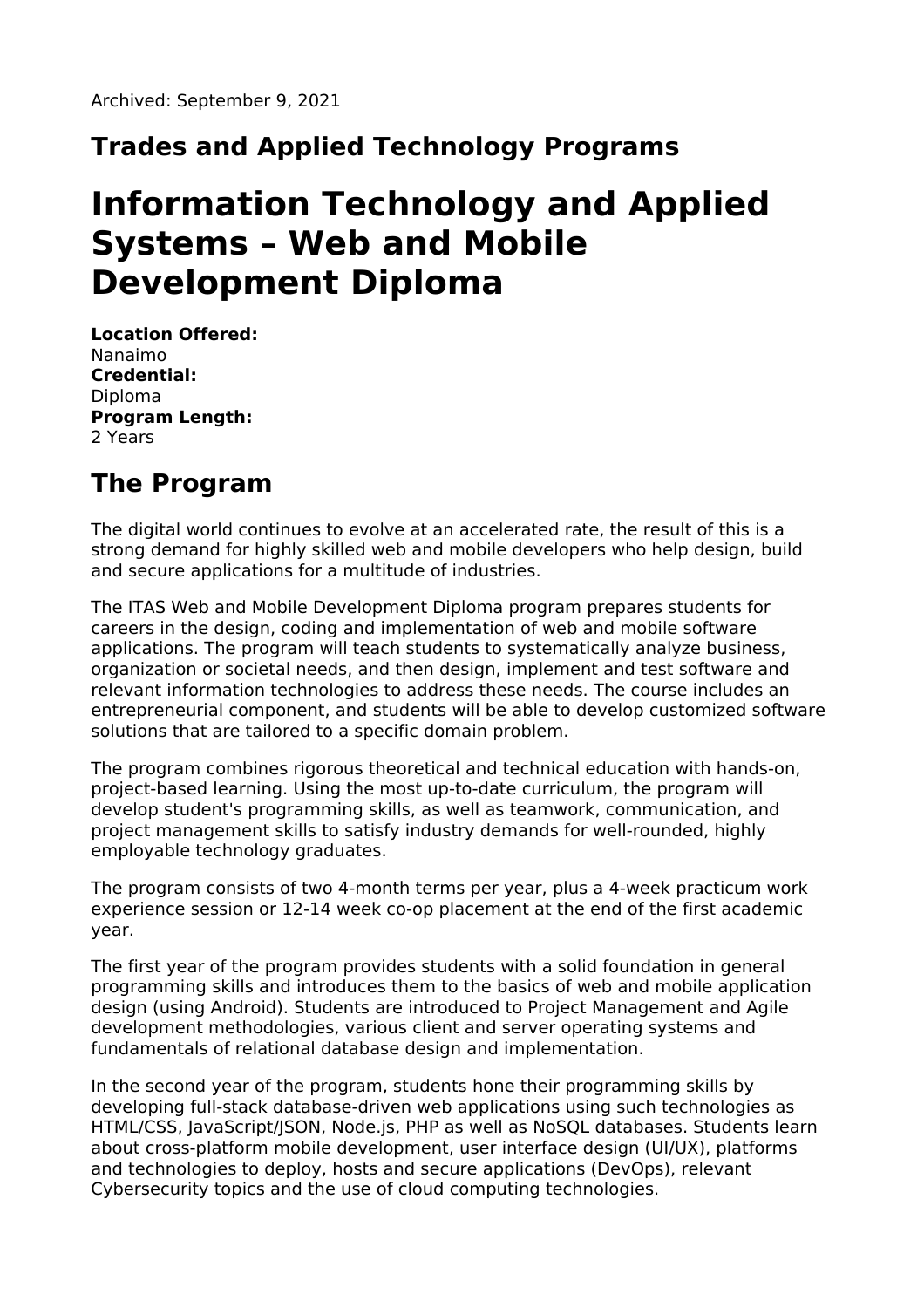### **Trades and Applied Technology Programs**

# **Information Technology and Applied Systems – Web and Mobile Development Diploma**

**Location Offered:** Nanaimo **Credential:** Diploma **Program Length:** 2 Years

## **The Program**

The digital world continues to evolve at an accelerated rate, the result of this is a strong demand for highly skilled web and mobile developers who help design, build and secure applications for a multitude of industries.

The ITAS Web and Mobile Development Diploma program prepares students for careers in the design, coding and implementation of web and mobile software applications. The program will teach students to systematically analyze business, organization or societal needs, and then design, implement and test software and relevant information technologies to address these needs. The course includes an entrepreneurial component, and students will be able to develop customized software solutions that are tailored to a specific domain problem.

The program combines rigorous theoretical and technical education with hands-on, project-based learning. Using the most up-to-date curriculum, the program will develop student's programming skills, as well as teamwork, communication, and project management skills to satisfy industry demands for well-rounded, highly employable technology graduates.

The program consists of two 4-month terms per year, plus a 4-week practicum work experience session or 12-14 week co-op placement at the end of the first academic year.

The first year of the program provides students with a solid foundation in general programming skills and introduces them to the basics of web and mobile application design (using Android). Students are introduced to Project Management and Agile development methodologies, various client and server operating systems and fundamentals of relational database design and implementation.

In the second year of the program, students hone their programming skills by developing full-stack database-driven web applications using such technologies as HTML/CSS, JavaScript/JSON, Node.js, PHP as well as NoSQL databases. Students learn about cross-platform mobile development, user interface design (UI/UX), platforms and technologies to deploy, hosts and secure applications (DevOps), relevant Cybersecurity topics and the use of cloud computing technologies.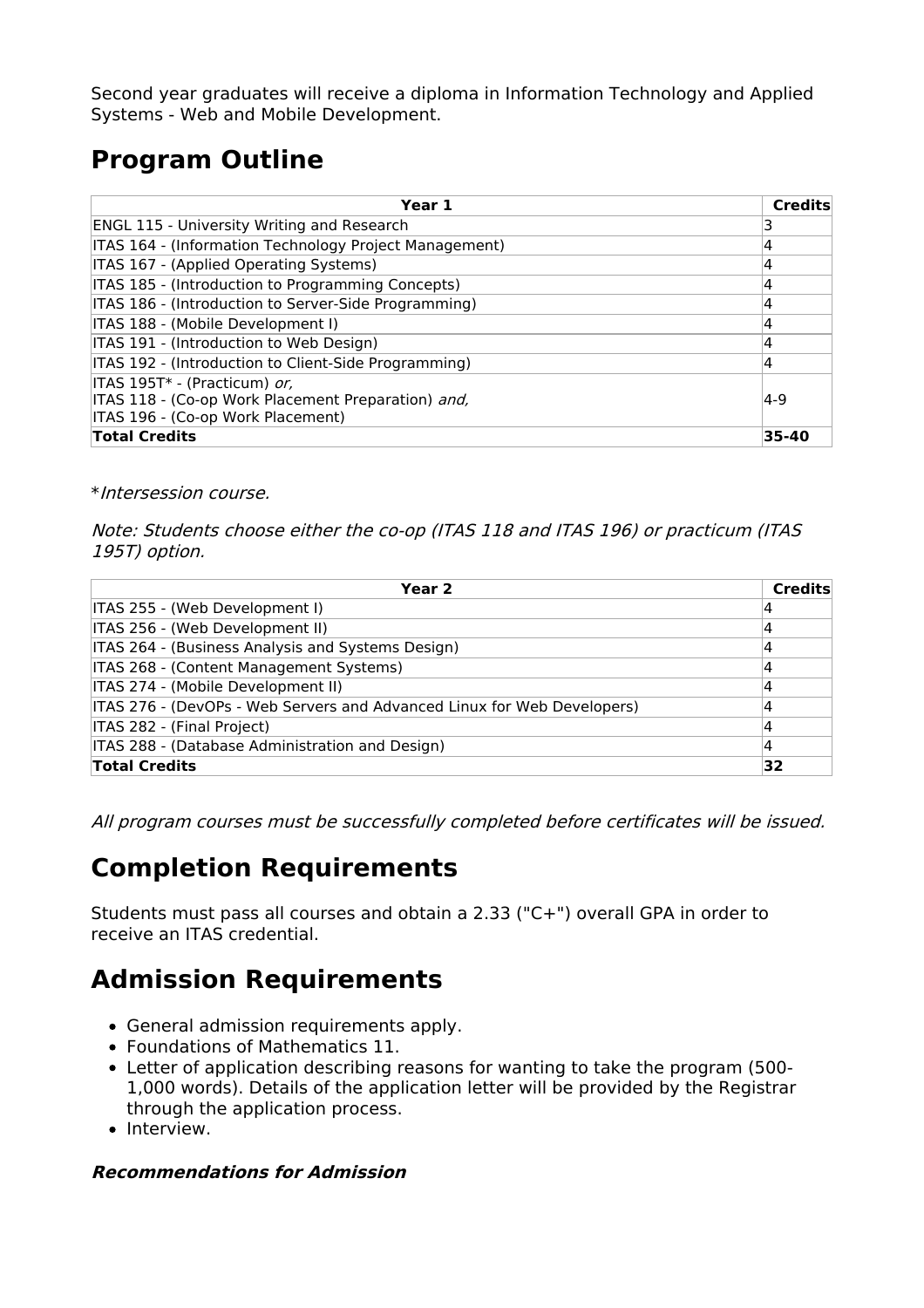Second year graduates will receive a diploma in Information Technology and Applied Systems - Web and Mobile Development.

# **Program Outline**

| Year 1                                                 | <b>Credits</b> |
|--------------------------------------------------------|----------------|
| <b>ENGL 115 - University Writing and Research</b>      |                |
| ITAS 164 - (Information Technology Project Management) | 4              |
| ITAS 167 - (Applied Operating Systems)                 | 14             |
| ITAS 185 - (Introduction to Programming Concepts)      | 4              |
| ITAS 186 - (Introduction to Server-Side Programming)   | 4              |
| ITAS 188 - (Mobile Development I)                      | 4              |
| ITAS 191 - (Introduction to Web Design)                | 4              |
| ITAS 192 - (Introduction to Client-Side Programming)   | 14             |
| ITAS 195T* - (Practicum) or,                           |                |
| ITAS 118 - (Co-op Work Placement Preparation) and,     | $ 4-9 $        |
| ITAS 196 - (Co-op Work Placement)                      |                |
| <b>Total Credits</b>                                   | 35-40          |

#### \*Intersession course.

Note: Students choose either the co-op (ITAS 118 and ITAS 196) or practicum (ITAS 195T) option.

| Year 2                                                                  | <b>Credits</b> |
|-------------------------------------------------------------------------|----------------|
| ITAS 255 - (Web Development I)                                          |                |
| ITAS 256 - (Web Development II)                                         |                |
| ITAS 264 - (Business Analysis and Systems Design)                       | 4              |
| ITAS 268 - (Content Management Systems)                                 | 4              |
| ITAS 274 - (Mobile Development II)                                      |                |
| ITAS 276 - (DevOPs - Web Servers and Advanced Linux for Web Developers) |                |
| <b>ITAS 282 - (Final Project)</b>                                       | 4              |
| ITAS 288 - (Database Administration and Design)                         | 4              |
| <b>Total Credits</b>                                                    | 32             |

All program courses must be successfully completed before certificates will be issued.

### **Completion Requirements**

Students must pass all courses and obtain a 2.33 ("C+") overall GPA in order to receive an ITAS credential.

### **Admission Requirements**

- General admission requirements apply.
- Foundations of Mathematics 11.
- Letter of application describing reasons for wanting to take the program (500- 1,000 words). Details of the application letter will be provided by the Registrar through the application process.
- Interview.

#### **Recommendations for Admission**